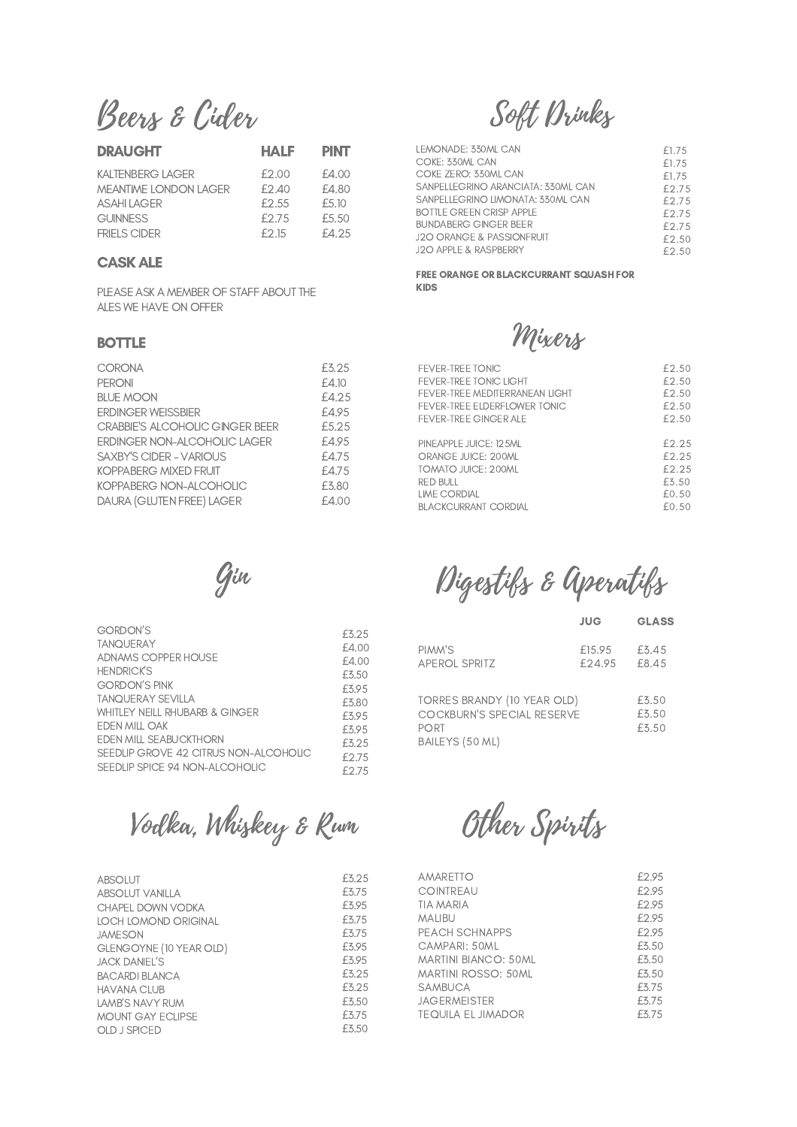Beers & Cider

| <b>DRAUGHT</b>               | <b>HALF</b> | <b>PINT</b> |
|------------------------------|-------------|-------------|
| KAI TENBERG I AGER           | £2.00       | £4.00       |
| <b>MEANTIME LONDON LAGER</b> | f2.40       | £4.80       |
| <b>ASAHI LAGER</b>           | £2.55       | £5.10       |
| <b>GUINNESS</b>              | £2.75       | £5.50       |
| FRIFLS CIDER                 | f 2 15      | £4.25       |

# CASKALE

PLEASE ASK A MEMBER OF STAFF ABOUT THE ALES WE HAVE ON OFFER

### BOTTLE

| <b>CORONA</b>                   | £3.25 |
|---------------------------------|-------|
| <b>PERONI</b>                   | £4.10 |
| <b>BLUE MOON</b>                | £4.25 |
| <b>ERDINGER WEISSBIER</b>       | £4.95 |
| CRABBIE'S ALCOHOLIC GINGER BEER | £5.25 |
| ERDINGER NON-ALCOHOLIC LAGER    | £4.95 |
| <b>SAXBY'S CIDER - VARIOUS</b>  | £4.75 |
| <b>KOPPABERG MIXED FRUIT</b>    | £4.75 |
| KOPPABERG NON-ALCOHOLIC         | £3.80 |
| DAURA (GLUTEN FREE) LAGER       | £4.00 |

Gin

| <b>GORDON'S</b>                       | £3.25 |
|---------------------------------------|-------|
| <b>TANOUFRAY</b>                      | £4.00 |
| ADNAMS COPPER HOUSE                   | £4.00 |
| <b>HENDRICK'S</b>                     | £3.50 |
| <b>GORDON'S PINK</b>                  | £3.95 |
| <b>TANQUERAY SEVILLA</b>              | £3.80 |
| WHITLEY NEILL RHUBARB & GINGER        | £395  |
| FDEN MILL OAK                         | £395  |
| <b>FDEN MILL SEARLICKTHORN</b>        | £3.25 |
| SEEDLIP GROVE 42 CITRUS NON-ALCOHOLIC | f275  |
| SEEDLIP SPICE 94 NON-ALCOHOLIC        | F275  |
|                                       |       |

Vodka, Whiskey & Rum

| <b>ABSOLUT</b>          | £3.25 |
|-------------------------|-------|
| <b>ABSOLUT VANILLA</b>  | £3.75 |
| CHAPFL DOWN VODKA       | £5.95 |
| LOCH LOMOND ORIGINAL    | £3.75 |
| <b>JAMESON</b>          | £3.75 |
| GLENGOYNE (10 YEAR OLD) | £5.95 |
| JACK DANIEL'S           | £5.95 |
| <b>BACARDI BI ANCA</b>  | £3.25 |
| <b>HAVANA CLUB</b>      | £325  |
| LAMB'S NAVY RUM         | £3.50 |
| MOUNT GAY FCHPSE        | £3.75 |
| OLD J SPICED            | £3.50 |

Soft Drinks

| LEMONADE: 330ML CAN                  | £1.75 |
|--------------------------------------|-------|
| COKE: 330ML CAN                      | £1.75 |
| COKE ZERO: 330ML CAN                 | £1.75 |
| SANPELLEGRINO ARANCIATA: 330ML CAN   | £2.75 |
| SANPELLEGRINO LIMONATA: 330ML CAN    | £2.75 |
| <b>BOTTLE GREEN CRISP APPLE</b>      | £2.75 |
| <b>BUNDABERG GINGER BEER</b>         | £2.75 |
| <b>J2O ORANGE &amp; PASSIONFRUIT</b> | £2.50 |
| <b>J2O APPLE &amp; RASPBERRY</b>     | £2.50 |
|                                      |       |

FREE ORANGE OR BLACKCURRANT SQUASH FOR KIDS

Mixers

| FEVER-TREE TONIC               | £2.50 |
|--------------------------------|-------|
| FEVER-TREE TONIC LIGHT         | £2.50 |
| FEVER-TREE MEDITERRANEAN LIGHT | f2.50 |
| FEVER-TREE ELDERELOWER TONIC   | f2.50 |
| <b>FEVER-TREE GINGER ALE</b>   | f2.50 |
| PINFAPPLE JUICE: 125ML         | F2 25 |
| ORANGE JUICE: 200ML            | F2 25 |
| TOMATO JUICE: 200MI            | £2.25 |
| RED BULL                       | £3.50 |
| <b>IME CORDIAL</b>             | f0.50 |
| BI ACKCURRANT CORDIAL          | f0.50 |

Digestifs & Aperatifs

|                                                                                             | <b>JUG</b>       | <b>GLASS</b>            |
|---------------------------------------------------------------------------------------------|------------------|-------------------------|
| PIMM'S<br><b>APEROL SPRITZ</b>                                                              | £15.95<br>£24.95 | £3.45<br>£8.45          |
| TORRES BRANDY (10 YEAR OLD)<br><b>COCKBURN'S SPECIAL RESERVE</b><br>PORT<br>BAILEYS (50 ML) |                  | £3.50<br>£3.50<br>£3.50 |

Other Spirits

| AMARETTO                    | £2.95 |
|-----------------------------|-------|
| <b>COINTREAU</b>            | £2.95 |
| TIA MARIA                   | £2.95 |
| <b>MALIBU</b>               | £2.95 |
| PEACH SCHNAPPS              | £2.95 |
| CAMPARI: 50ML               | £3.50 |
| <b>MARTINI BIANCO: 50ML</b> | £3.50 |
| <b>MARTINI ROSSO: 50ML</b>  | £3.50 |
| SAMBUCA                     | £3.75 |
| <b>JAGERMEISTER</b>         | £3.75 |
| <b>TEOUILA EL JIMADOR</b>   | £3.75 |
|                             |       |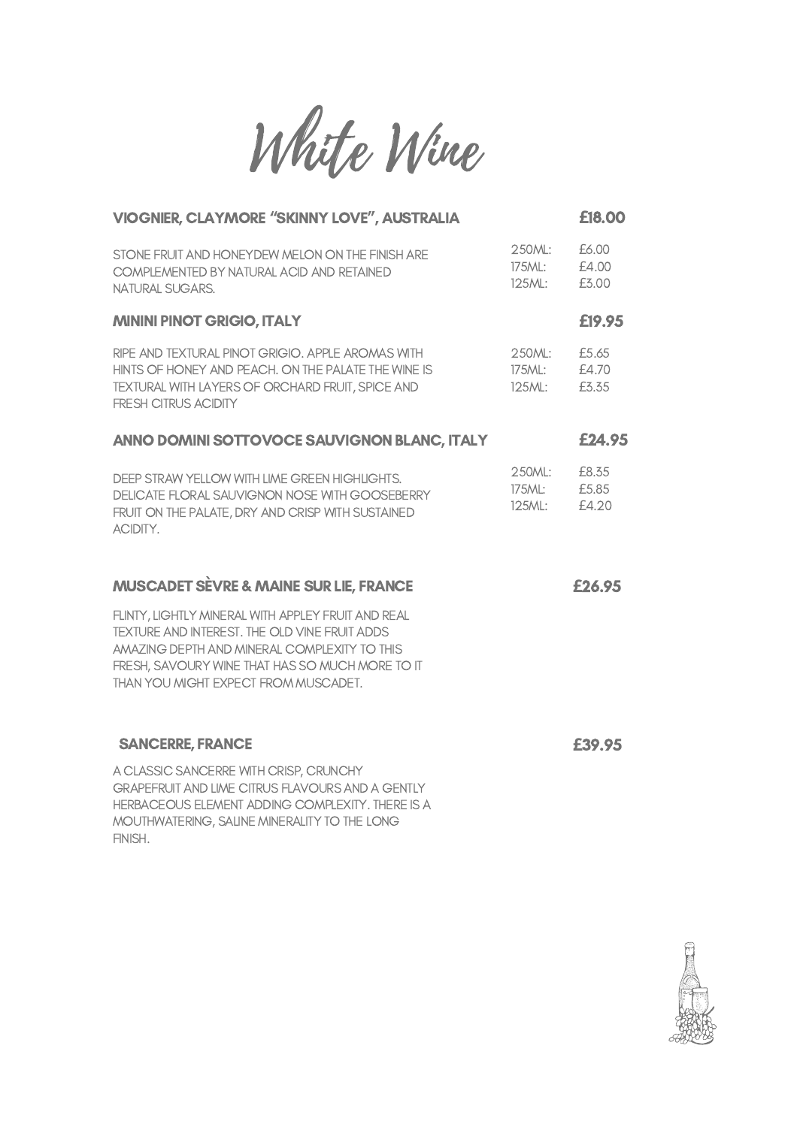White Wine

| <b>VIOGNIER, CLAYMORE "SKINNY LOVE", AUSTRALIA</b>                                                                                                                                                                                             |                            | £18.00                  |
|------------------------------------------------------------------------------------------------------------------------------------------------------------------------------------------------------------------------------------------------|----------------------------|-------------------------|
| STONE FRUIT AND HONEYDEW MELON ON THE FINISH ARE<br>COMPLEMENTED BY NATURAL ACID AND RETAINED<br><b>NATURAL SUGARS.</b>                                                                                                                        | 250ML:<br>175ML:<br>125ML: | £6.00<br>£4.00<br>£3.00 |
| <b>MININI PINOT GRIGIO, ITALY</b>                                                                                                                                                                                                              |                            | £19.95                  |
| RIPE AND TEXTURAL PINOT GRIGIO. APPLE AROMAS WITH<br>HINTS OF HONEY AND PEACH. ON THE PALATE THE WINE IS<br>TEXTURAL WITH LAYERS OF ORCHARD FRUIT, SPICE AND<br><b>FRESH CITRUS ACIDITY</b>                                                    | 250ML:<br>175ML:<br>125ML: | £5.65<br>£4.70<br>£3.35 |
| ANNO DOMINI SOTTOVOCE SAUVIGNON BLANC, ITALY                                                                                                                                                                                                   |                            | £24.95                  |
| DEEP STRAW YELLOW WITH LIME GREEN HIGHLIGHTS.<br>DELICATE FLORAL SAUVIGNON NOSE WITH GOOSEBERRY<br>FRUIT ON THE PALATE, DRY AND CRISP WITH SUSTAINED<br>ACIDITY.                                                                               | 250ML:<br>175ML:<br>125ML: | £8.35<br>£5.85<br>£4.20 |
| <b>MUSCADET SÈVRE &amp; MAINE SUR LIE, FRANCE</b>                                                                                                                                                                                              |                            | £26.95                  |
| FLINTY, LIGHTLY MINERAL WITH APPLEY FRUIT AND REAL<br>TEXTURE AND INTEREST. THE OLD VINE FRUIT ADDS<br>AMAZING DEPTH AND MINERAL COMPLEXITY TO THIS<br>FRESH, SAVOURY WINE THAT HAS SO MUCH MORE TO IT<br>THAN YOU MIGHT EXPECT FROM MUSCADET. |                            |                         |
| <b>SANCERRE, FRANCE</b>                                                                                                                                                                                                                        |                            | £39.95                  |
| A CLASSIC SANCERRE WITH CRISP, CRUNCHY<br>GRAPEFRUIT AND LIME CITRUS FLAVOURS AND A GENTLY<br>HERBACEOUS ELEMENT ADDING COMPLEXITY. THERE IS A<br>MOUTHWATERING, SALINE MINERALITY TO THE LONG<br>FINISH.                                      |                            |                         |

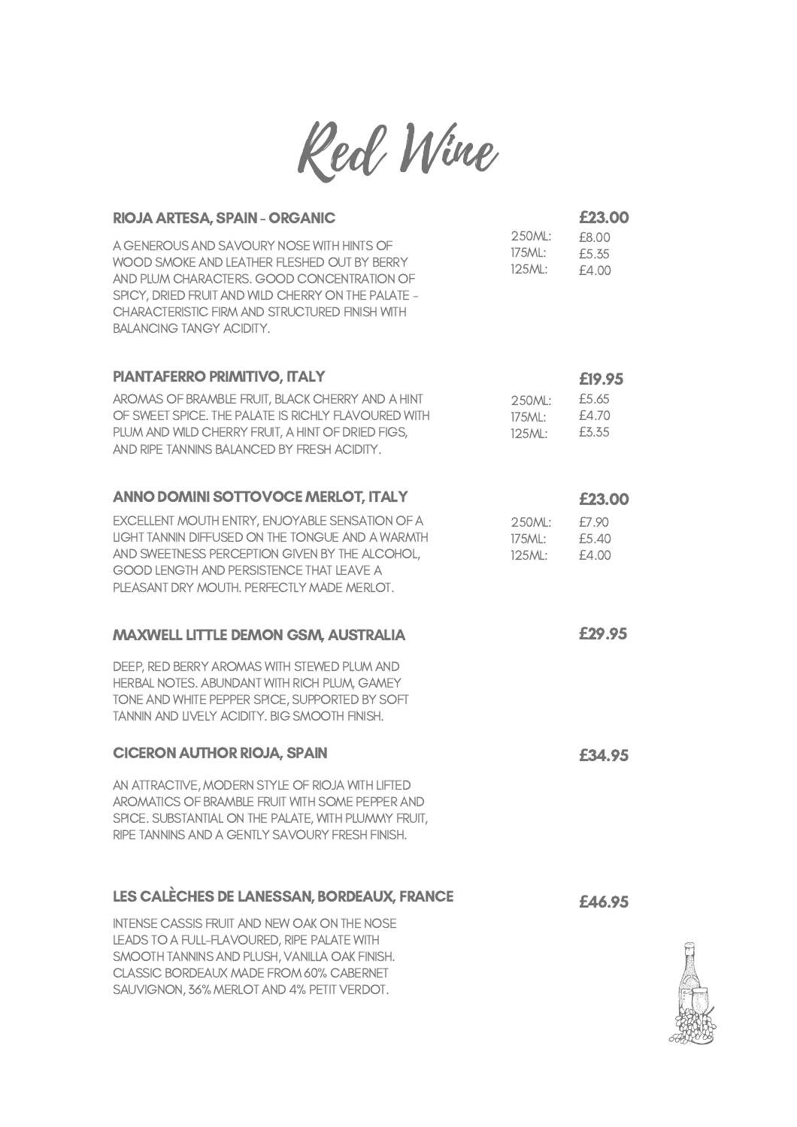

| RIOJA ARTESA, SPAIN - ORGANIC                                                                                                                                                                                                                                                     |                            | £23.00                  |
|-----------------------------------------------------------------------------------------------------------------------------------------------------------------------------------------------------------------------------------------------------------------------------------|----------------------------|-------------------------|
| A GENEROUS AND SAVOURY NOSE WITH HINTS OF<br>WOOD SMOKE AND LEATHER FLESHED OUT BY BERRY<br>AND PLUM CHARACTERS. GOOD CONCENTRATION OF<br>SPICY, DRIED FRUIT AND WILD CHERRY ON THE PALATE -<br>CHARACTERISTIC FIRM AND STRUCTURED FINISH WITH<br><b>BALANCING TANGY ACIDITY.</b> | 250ML:<br>175ML:<br>125ML: | £8.00<br>£5.35<br>£4.00 |
| PIANTAFERRO PRIMITIVO, ITALY                                                                                                                                                                                                                                                      |                            | £19.95                  |
| AROMAS OF BRAMBLE FRUIT, BLACK CHERRY AND A HINT<br>OF SWEET SPICE. THE PALATE IS RICHLY FLAVOURED WITH<br>PLUM AND WILD CHERRY FRUIT, A HINT OF DRIED FIGS,<br>AND RIPE TANNINS BALANCED BY FRESH ACIDITY.                                                                       | 250ML:<br>175ML:<br>125ML: | £5.65<br>£4.70<br>£3.35 |
| <b>ANNO DOMINI SOTTOVOCE MERLOT, ITALY</b>                                                                                                                                                                                                                                        |                            | £23.00                  |
| EXCELLENT MOUTH ENTRY, ENJOYABLE SENSATION OF A<br>LIGHT TANNIN DIFFUSED ON THE TONGUE AND A WARMTH<br>AND SWEETNESS PERCEPTION GIVEN BY THE ALCOHOL,<br>GOOD LENGTH AND PERSISTENCE THAT LEAVE A<br>PLEASANT DRY MOUTH. PERFECTLY MADE MERLOT.                                   | 250ML:<br>175ML:<br>125ML: | £7.90<br>£5.40<br>£4.00 |
| <b>MAXWELL LITTLE DEMON GSM, AUSTRALIA</b>                                                                                                                                                                                                                                        |                            | £29.95                  |
| DEEP, RED BERRY AROMAS WITH STEWED PLUM AND<br>HERBAL NOTES. ABUNDANT WITH RICH PLUM, GAMEY<br>TONE AND WHITE PEPPER SPICE, SUPPORTED BY SOFT<br>TANNIN AND LIVELY ACIDITY. BIG SMOOTH FINISH.                                                                                    |                            |                         |
| <b>CICERON AUTHOR RIOJA, SPAIN</b>                                                                                                                                                                                                                                                |                            | £34.95                  |
| AN ATTRACTIVE, MODERN STYLE OF RIOJA WITH LIFTED<br>AROMATICS OF BRAMBLE FRUIT WITH SOME PEPPER AND<br>SPICE. SUBSTANTIAL ON THE PALATE, WITH PLUMMY FRUIT,<br>RIPE TANNINS AND A GENTLY SAVOURY FRESH FINISH.                                                                    |                            |                         |
| LES CALÈCHES DE LANESSAN, BORDEAUX, FRANCE                                                                                                                                                                                                                                        |                            | <b>£46.95</b>           |
| <b>INTENSE CASSIS FRUIT AND NEW OAK ON THE NOSE</b><br>LEADS TO A FULL-FLAVOURED, RIPE PALATE WITH<br>SMOOTH TANNINS AND PLUSH, VANILLA OAK FINISH.<br>CLASSIC BORDEAUX MADE FROM 60% CABERNET<br>SAUVIGNON, 36% MERLOT AND 4% PETIT VERDOT.                                      |                            |                         |

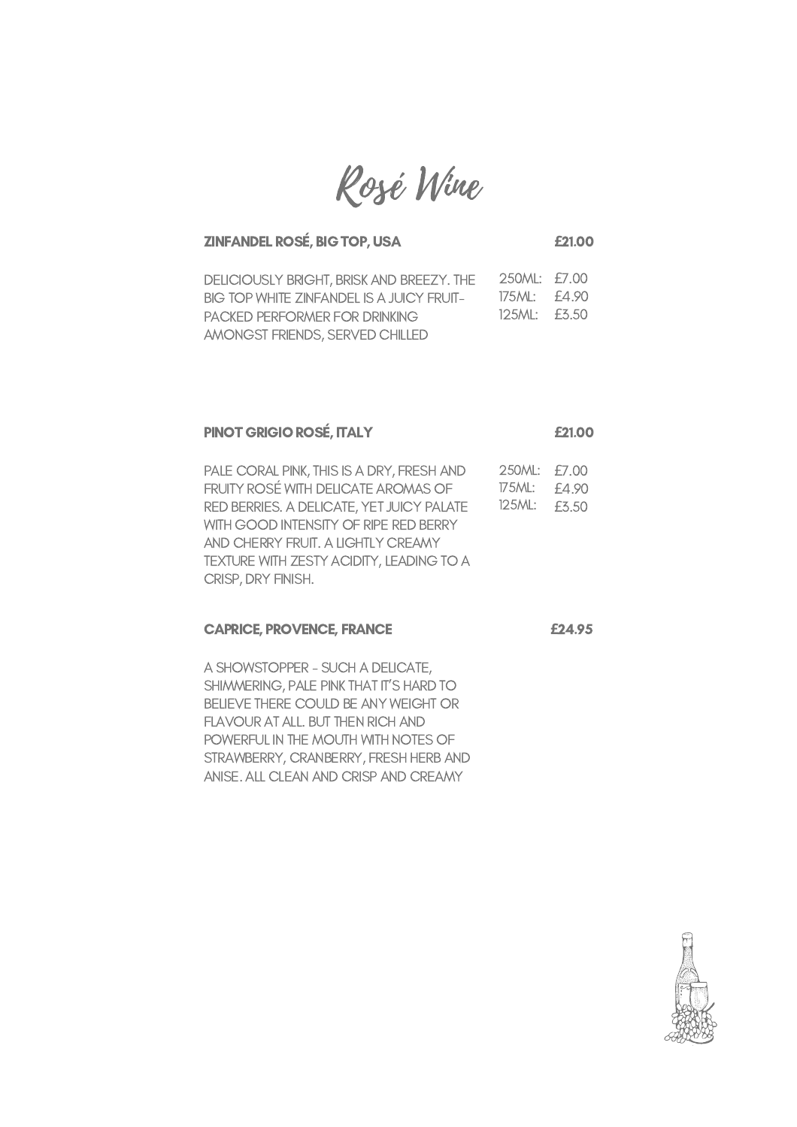Rosé Wine

## ZINFANDEL ROSÉ, BIG TOP, USA **£**21.00

| DELICIOUSLY BRIGHT, BRISK AND BREEZY. THE | 250ML: £7.00    |  |
|-------------------------------------------|-----------------|--|
| BIG TOP WHITE ZINFANDEL IS A JUICY FRUIT- | 175ML: £4.90    |  |
| PACKED PERFORMER FOR DRINKING             | $125M!$ : £3.50 |  |
| AMONGST FRIENDS, SERVED CHILLED           |                 |  |

## PINOT GRIGIO ROSÉ, ITALY **£**21.00

PALE CORAL PINK, THIS IS A DRY, FRESH AND FRUITY ROSÉ WITH DELICATE AROMAS OF RED BERRIES. A DELICATE, YET JUICY PALATE WITH GOOD INTENSITY OF RIPE RED BERRY AND CHERRY FRUIT. A LIGHTLY CREAMY TEXTURE WITH ZESTY ACIDITY, LEADING TO A CRISP, DRY FINISH. 250ML: £7.00 175ML: £4.90 125ML: £3.50

#### CAPRICE, PROVENCE, FRANCE **£**24.95

A SHOWSTOPPER - SUCH A DELICATE, SHIMMERING, PALE PINK THAT IT'S HARD TO BELIEVE THERE COULD BE ANY WEIGHT OR FLAVOUR AT ALL. BUT THEN RICH AND POWERFUL IN THE MOUTH WITH NOTES OF STRAWBERRY, CRANBERRY, FRESH HERB AND ANISE. ALL CLEAN AND CRISP AND CREAMY

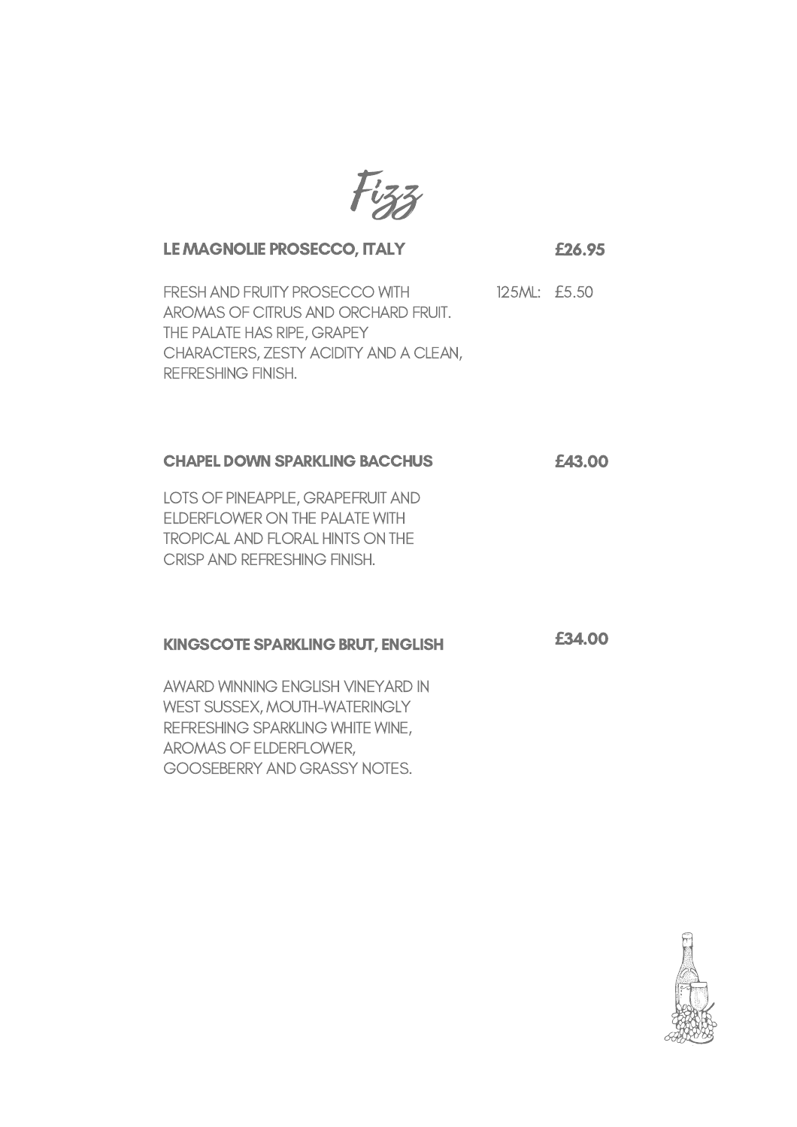

# LE MAGNOLIE PROSECCO, ITALY

**£**26.95

**£**34.00

FRESH AND FRUITY PROSECCO WITH AROMAS OF CITRUS AND ORCHARD FRUIT. THE PALATE HAS RIPE, GRAPEY CHARACTERS, ZESTY ACIDITY AND A CLEAN, REFRESHING FINISH. 125ML: £5.50

#### CHAPEL DOWN SPARKLING BACCHUS **£**43.00

LOTS OF PINEAPPLE, GRAPEFRUIT AND ELDERFLOWER ON THE PALATE WITH TROPICAL AND FLORAL HINTS ON THE CRISP AND REFRESHING FINISH.

# KINGSCOTE SPARKLING BRUT, ENGLISH

AWARD WINNING ENGLISH VINEYARD IN WEST SUSSEX, MOUTH-WATERINGLY REFRESHING SPARKLING WHITE WINE, AROMAS OF ELDERFLOWER, GOOSEBERRY AND GRASSY NOTES.